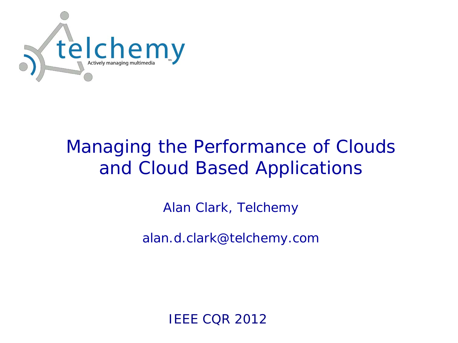

# Managing the Performance of Clouds and Cloud Based Applications

Alan Clark, Telchemy

alan.d.clark@telchemy.com

IEEE CQR 2012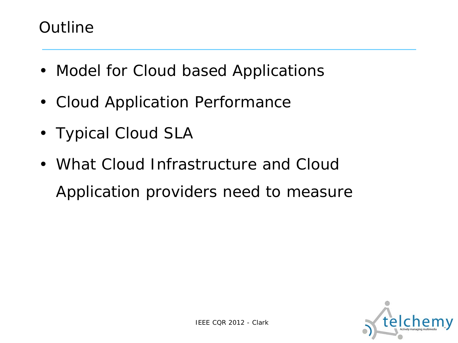#### **Outline**

- Model for Cloud based Applications
- Cloud Application Performance
- Typical Cloud SLA
- What Cloud Infrastructure and Cloud Application providers need to measure

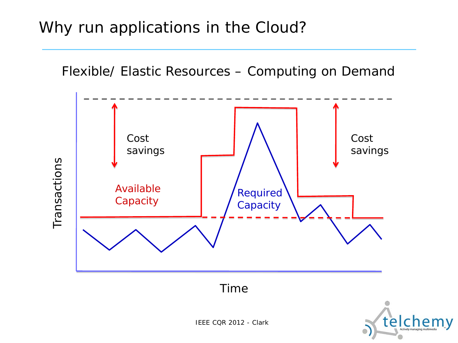### Why run applications in the Cloud?



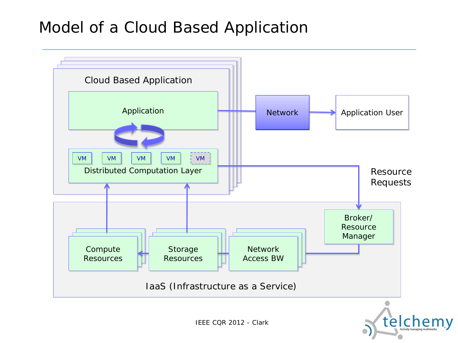#### Model of a Cloud Based Application

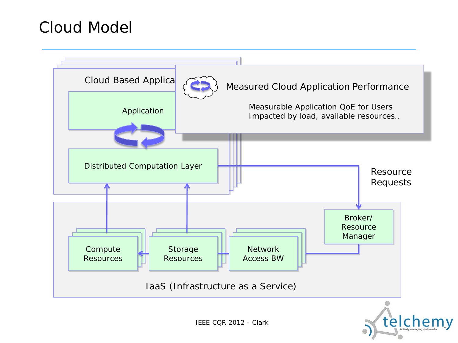#### Cloud Model

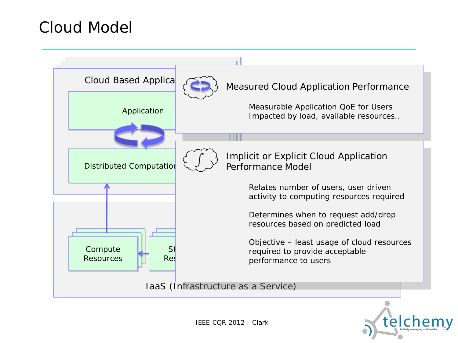#### Cloud Model



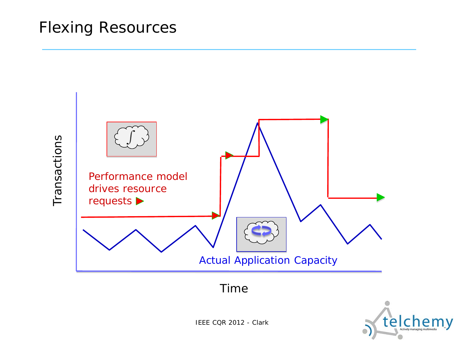#### Flexing Resources



Time

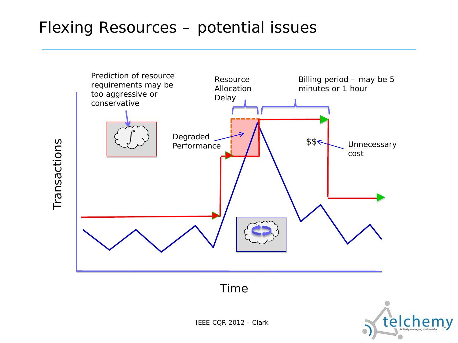#### Flexing Resources – potential issues

Transactions Transactions



Time

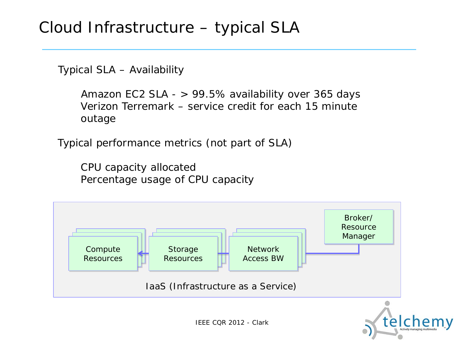#### Cloud Infrastructure – typical SLA

Typical SLA – Availability

Amazon EC2 SLA - > 99.5% availability over 365 days Verizon Terremark – service credit for each 15 minute outage

Typical performance metrics (not part of SLA)

CPU capacity allocated Percentage usage of CPU capacity

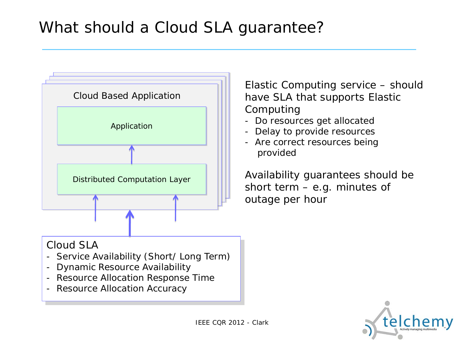## What should a Cloud SLA guarantee?



Elastic Computing service – should have SLA that supports Elastic Computing

- Do resources get allocated
- Delay to provide resources
- Are correct resources being provided

Availability guarantees should be short term – e.g. minutes of outage per hour

#### Cloud SLA

- Service Availability (Short/ Long Term)
- Dynamic Resource Availability
- Resource Allocation Response Time
- Resource Allocation Accuracy

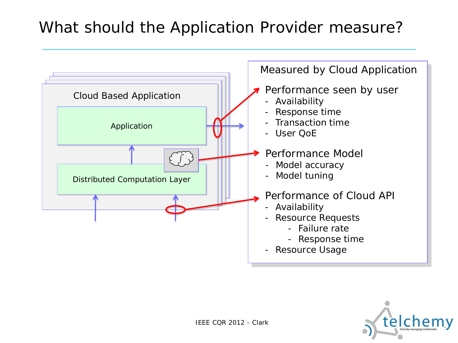### What should the Application Provider measure?



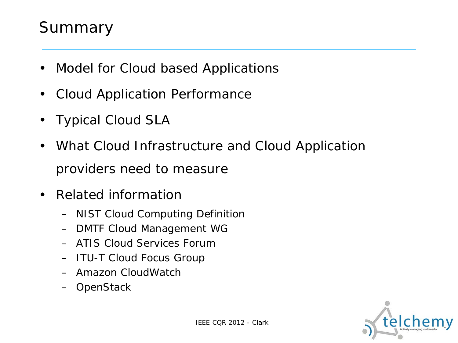### Summary

- Model for Cloud based Applications
- Cloud Application Performance
- Typical Cloud SLA
- What Cloud Infrastructure and Cloud Application providers need to measure
- Related information
	- NIST Cloud Computing Definition
	- DMTF Cloud Management WG
	- ATIS Cloud Services Forum
	- ITU-T Cloud Focus Group
	- Amazon CloudWatch
	- OpenStack